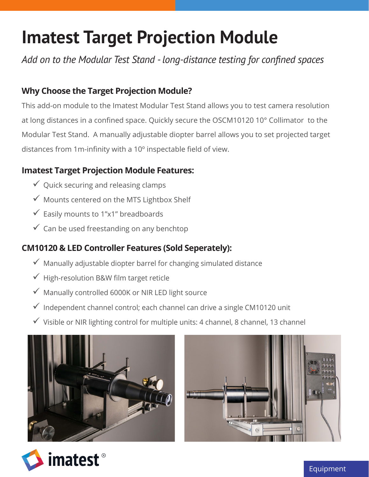# **Imatest Target Projection Module**

*Add on to the Modular Test Stand - long-distance testing for confined spaces*

#### **Why Choose the Target Projection Module?**

This add-on module to the Imatest Modular Test Stand allows you to test camera resolution at long distances in a confined space. Quickly secure the OSCM10120 10° Collimator to the Modular Test Stand. A manually adjustable diopter barrel allows you to set projected target distances from 1m-infinity with a 10º inspectable field of view.

#### **Imatest Target Projection Module Features:**

- $\checkmark$  Quick securing and releasing clamps
- $\checkmark$  Mounts centered on the MTS Lightbox Shelf
- $\checkmark$  Easily mounts to 1"x1" breadboards
- $\checkmark$  Can be used freestanding on any benchtop

#### **CM10120 & LED Controller Features (Sold Seperately):**

- $\checkmark$  Manually adjustable diopter barrel for changing simulated distance
- $\checkmark$  High-resolution B&W film target reticle
- $\checkmark$  Manually controlled 6000K or NIR LED light source
- $\checkmark$  Independent channel control; each channel can drive a single CM10120 unit
- $\checkmark$  Visible or NIR lighting control for multiple units: 4 channel, 8 channel, 13 channel